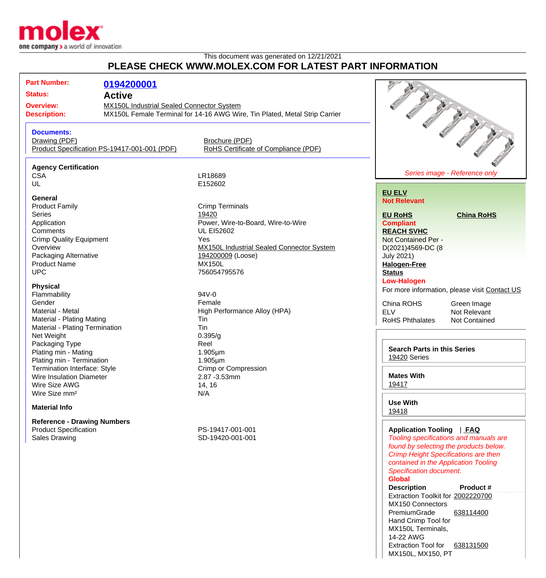

## This document was generated on 12/21/2021 **PLEASE CHECK WWW.MOLEX.COM FOR LATEST PART INFORMATION**

| <b>Part Number:</b><br><b>Status:</b><br><b>Overview:</b><br><b>Description:</b> | 0194200001<br><b>Active</b><br><b>MX150L Industrial Sealed Connector System</b><br>MX150L Female Terminal for 14-16 AWG Wire, Tin Plated, Metal Strip Carrier |                                                                |                                                              |                                                                                                                                                                         |
|----------------------------------------------------------------------------------|---------------------------------------------------------------------------------------------------------------------------------------------------------------|----------------------------------------------------------------|--------------------------------------------------------------|-------------------------------------------------------------------------------------------------------------------------------------------------------------------------|
| <b>Documents:</b><br>Drawing (PDF)                                               | Product Specification PS-19417-001-001 (PDF)                                                                                                                  | Brochure (PDF)<br>RoHS Certificate of Compliance (PDF)         |                                                              | <b>SEPT 1979</b>                                                                                                                                                        |
| <b>Agency Certification</b><br><b>CSA</b>                                        |                                                                                                                                                               | LR18689                                                        |                                                              | Series image - Reference only                                                                                                                                           |
| UL<br>General                                                                    |                                                                                                                                                               | E152602                                                        | <b>EU ELV</b><br><b>Not Relevant</b>                         |                                                                                                                                                                         |
| <b>Product Family</b><br><b>Series</b>                                           |                                                                                                                                                               | <b>Crimp Terminals</b><br>19420                                | <b>EU RoHS</b>                                               | <b>China RoHS</b>                                                                                                                                                       |
| Application<br>Comments<br><b>Crimp Quality Equipment</b>                        |                                                                                                                                                               | Power, Wire-to-Board, Wire-to-Wire<br><b>UL EI52602</b><br>Yes | <b>Compliant</b><br><b>REACH SVHC</b><br>Not Contained Per - |                                                                                                                                                                         |
| Overview<br>Packaging Alternative                                                |                                                                                                                                                               | MX150L Industrial Sealed Connector System<br>194200009 (Loose) | D(2021)4569-DC (8<br><b>July 2021)</b>                       |                                                                                                                                                                         |
| <b>Product Name</b><br><b>UPC</b>                                                |                                                                                                                                                               | <b>MX150L</b><br>756054795576                                  | <b>Halogen-Free</b><br><b>Status</b><br><b>Low-Halogen</b>   |                                                                                                                                                                         |
| <b>Physical</b>                                                                  |                                                                                                                                                               |                                                                |                                                              | For more information, please visit Contact US                                                                                                                           |
| Flammability                                                                     |                                                                                                                                                               | 94V-0                                                          |                                                              |                                                                                                                                                                         |
| Gender<br>Material - Metal                                                       |                                                                                                                                                               | Female                                                         | China ROHS                                                   | Green Image                                                                                                                                                             |
| Material - Plating Mating                                                        |                                                                                                                                                               | High Performance Alloy (HPA)<br>Tin                            | <b>ELV</b>                                                   | Not Relevant                                                                                                                                                            |
| Material - Plating Termination                                                   |                                                                                                                                                               | Tin                                                            | <b>RoHS Phthalates</b>                                       | <b>Not Contained</b>                                                                                                                                                    |
| Net Weight                                                                       |                                                                                                                                                               | 0.395/g                                                        |                                                              |                                                                                                                                                                         |
| Packaging Type                                                                   |                                                                                                                                                               | Reel                                                           |                                                              |                                                                                                                                                                         |
| Plating min - Mating                                                             |                                                                                                                                                               | 1.905µm                                                        | <b>Search Parts in this Series</b>                           |                                                                                                                                                                         |
| Plating min - Termination                                                        |                                                                                                                                                               | 1.905µm                                                        | 19420 Series                                                 |                                                                                                                                                                         |
| <b>Termination Interface: Style</b>                                              |                                                                                                                                                               | <b>Crimp or Compression</b>                                    |                                                              |                                                                                                                                                                         |
| Wire Insulation Diameter                                                         |                                                                                                                                                               | 2.87 - 3.53mm                                                  | <b>Mates With</b>                                            |                                                                                                                                                                         |
| Wire Size AWG                                                                    |                                                                                                                                                               | 14, 16                                                         | 19417                                                        |                                                                                                                                                                         |
| Wire Size mm <sup>2</sup>                                                        |                                                                                                                                                               | N/A                                                            |                                                              |                                                                                                                                                                         |
| <b>Material Info</b>                                                             |                                                                                                                                                               |                                                                | <b>Use With</b><br>19418                                     |                                                                                                                                                                         |
| <b>Reference - Drawing Numbers</b>                                               |                                                                                                                                                               |                                                                |                                                              |                                                                                                                                                                         |
| <b>Product Specification</b>                                                     |                                                                                                                                                               | PS-19417-001-001                                               | Application Tooling   FAQ                                    |                                                                                                                                                                         |
| <b>Sales Drawing</b>                                                             |                                                                                                                                                               | SD-19420-001-001                                               | Specification document.<br><b>Global</b>                     | Tooling specifications and manuals are<br>found by selecting the products below.<br><b>Crimp Height Specifications are then</b><br>contained in the Application Tooling |

**Description Product #** Extraction Toolkit for [2002220700](http://www.molex.com/molex/products/datasheet.jsp?part=active/2002220700_APPLICATION_TOOLIN.xml) MX150 Connectors PremiumGrade Hand Crimp Tool for MX150L Terminals, 14-22 AWG [638114400](http://www.molex.com/molex/products/datasheet.jsp?part=active/0638114400_APPLICATION_TOOLIN.xml) Extraction Tool for [638131500](http://www.molex.com/molex/products/datasheet.jsp?part=active/0638131500_APPLICATION_TOOLIN.xml) MX150L, MX150, PT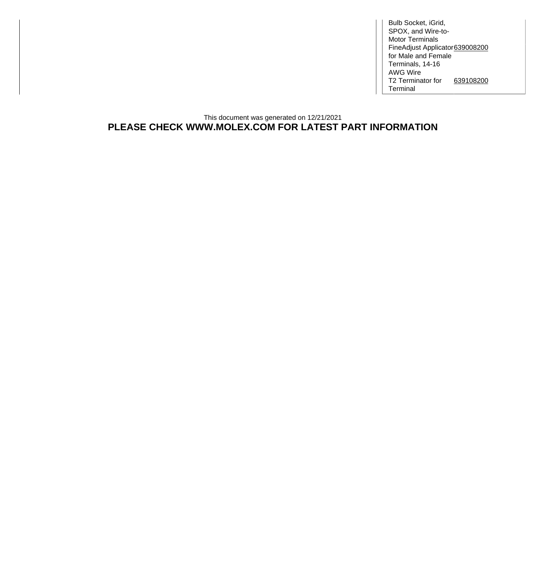Bulb Socket, iGrid, SPOX, and Wire-to-Motor Terminals FineAdjust Applicator [639008200](http://www.molex.com/molex/products/datasheet.jsp?part=active/0639008200_APPLICATION_TOOLIN.xml) for Male and Female Terminals, 14-16 AWG Wire T2 Terminator for Terminal [639108200](http://www.molex.com/molex/products/datasheet.jsp?part=active/0639108200_APPLICATION_TOOLIN.xml)

This document was generated on 12/21/2021 **PLEASE CHECK WWW.MOLEX.COM FOR LATEST PART INFORMATION**